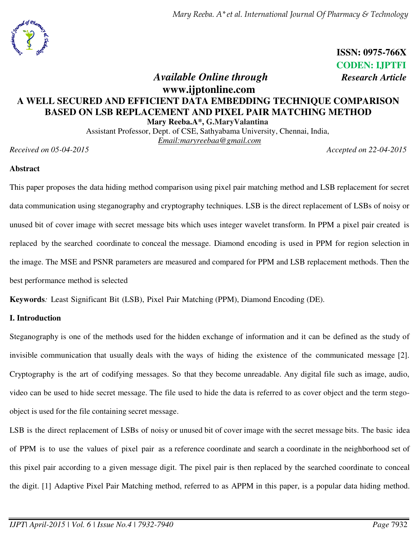*Mary Reeba. A\*et al. International Journal Of Pharmacy & Technology* 



 **ISSN: 0975-766X** **CODEN: IJPTFI**   *Available Online through Research Article*

# **www.ijptonline.com A WELL SECURED AND EFFICIENT DATA EMBEDDING TECHNIQUE COMPARISON BASED ON LSB REPLACEMENT AND PIXEL PAIR MATCHING METHOD**

**Mary Reeba.A\*, G.MaryValantina**

Assistant Professor, Dept. of CSE, Sathyabama University, Chennai, India, *Email:maryreebaa@gmail.com* 

*Received on 05-04-2015 Accepted on 22-04-2015*

#### **Abstract**

This paper proposes the data hiding method comparison using pixel pair matching method and LSB replacement for secret data communication using steganography and cryptography techniques. LSB is the direct replacement of LSBs of noisy or unused bit of cover image with secret message bits which uses integer wavelet transform. In PPM a pixel pair created is replaced by the searched coordinate to conceal the message. Diamond encoding is used in PPM for region selection in the image. The MSE and PSNR parameters are measured and compared for PPM and LSB replacement methods. Then the best performance method is selected

**Keywords***:* Least Significant Bit (LSB), Pixel Pair Matching (PPM), Diamond Encoding (DE).

### **I. Introduction**

Steganography is one of the methods used for the hidden exchange of information and it can be defined as the study of invisible communication that usually deals with the ways of hiding the existence of the communicated message [2]. Cryptography is the art of codifying messages. So that they become unreadable. Any digital file such as image, audio, video can be used to hide secret message. The file used to hide the data is referred to as cover object and the term stegoobject is used for the file containing secret message.

LSB is the direct replacement of LSBs of noisy or unused bit of cover image with the secret message bits. The basic idea of PPM is to use the values of pixel pair as a reference coordinate and search a coordinate in the neighborhood set of this pixel pair according to a given message digit. The pixel pair is then replaced by the searched coordinate to conceal the digit. [1] Adaptive Pixel Pair Matching method, referred to as APPM in this paper, is a popular data hiding method.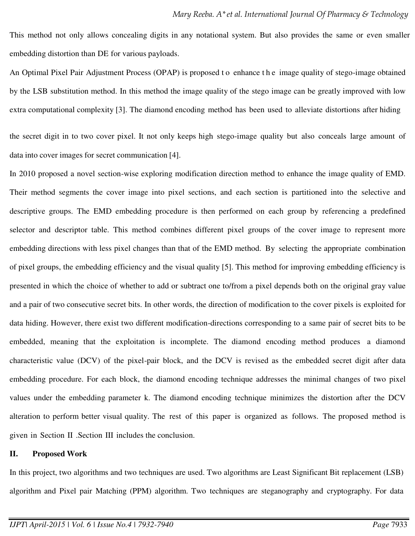This method not only allows concealing digits in any notational system. But also provides the same or even smaller embedding distortion than DE for various payloads.

An Optimal Pixel Pair Adjustment Process (OPAP) is proposed t o enhance t h e image quality of stego-image obtained by the LSB substitution method. In this method the image quality of the stego image can be greatly improved with low extra computational complexity [3]. The diamond encoding method has been used to alleviate distortions after hiding

the secret digit in to two cover pixel. It not only keeps high stego-image quality but also conceals large amount of data into cover images for secret communication [4].

In 2010 proposed a novel section-wise exploring modification direction method to enhance the image quality of EMD. Their method segments the cover image into pixel sections, and each section is partitioned into the selective and descriptive groups. The EMD embedding procedure is then performed on each group by referencing a predefined selector and descriptor table. This method combines different pixel groups of the cover image to represent more embedding directions with less pixel changes than that of the EMD method. By selecting the appropriate combination of pixel groups, the embedding efficiency and the visual quality [5]. This method for improving embedding efficiency is presented in which the choice of whether to add or subtract one to/from a pixel depends both on the original gray value and a pair of two consecutive secret bits. In other words, the direction of modification to the cover pixels is exploited for data hiding. However, there exist two different modification-directions corresponding to a same pair of secret bits to be embedded, meaning that the exploitation is incomplete. The diamond encoding method produces a diamond characteristic value (DCV) of the pixel-pair block, and the DCV is revised as the embedded secret digit after data embedding procedure. For each block, the diamond encoding technique addresses the minimal changes of two pixel values under the embedding parameter k. The diamond encoding technique minimizes the distortion after the DCV alteration to perform better visual quality. The rest of this paper is organized as follows. The proposed method is given in Section II .Section III includes the conclusion.

#### **II. Proposed Work**

In this project, two algorithms and two techniques are used. Two algorithms are Least Significant Bit replacement (LSB) algorithm and Pixel pair Matching (PPM) algorithm. Two techniques are steganography and cryptography. For data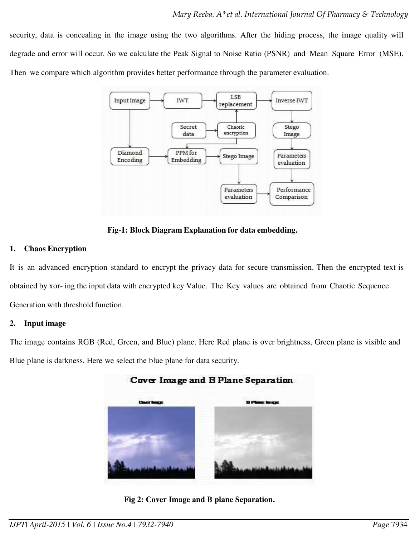security, data is concealing in the image using the two algorithms. After the hiding process, the image quality will degrade and error will occur. So we calculate the Peak Signal to Noise Ratio (PSNR) and Mean Square Error (MSE). Then we compare which algorithm provides better performance through the parameter evaluation.



**Fig-1: Block Diagram Explanation for data embedding.** 

### **1. Chaos Encryption**

It is an advanced encryption standard to encrypt the privacy data for secure transmission. Then the encrypted text is obtained by xor- ing the input data with encrypted key Value. The Key values are obtained from Chaotic Sequence Generation with threshold function.

### **2. Input image**

The image contains RGB (Red, Green, and Blue) plane. Here Red plane is over brightness, Green plane is visible and Blue plane is darkness. Here we select the blue plane for data security.



### Cover Image and B Plane Separation

**Fig 2: Cover Image and B plane Separation.**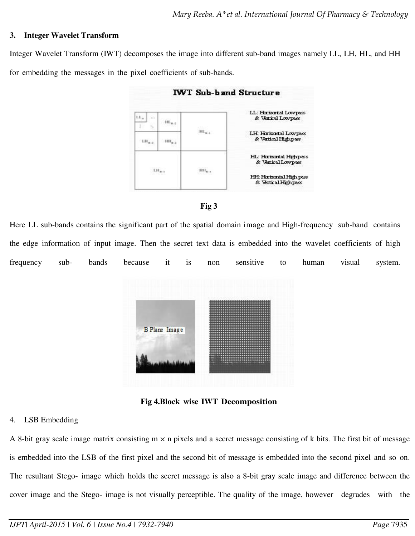#### **3. Integer Wavelet Transform**

Integer Wavelet Transform (IWT) decomposes the image into different sub-band images namely LL, LH, HL, and HH for embedding the messages in the pixel coefficients of sub-bands.





Here LL sub-bands contains the significant part of the spatial domain image and High-frequency sub-band contains the edge information of input image. Then the secret text data is embedded into the wavelet coefficients of high frequency sub- bands because it is non sensitive to human visual system.



**Fig 4.Block wise IWT Decomposition** 

### 4. LSB Embedding

A 8-bit gray scale image matrix consisting  $m \times n$  pixels and a secret message consisting of k bits. The first bit of message is embedded into the LSB of the first pixel and the second bit of message is embedded into the second pixel and so on. The resultant Stego- image which holds the secret message is also a 8-bit gray scale image and difference between the cover image and the Stego- image is not visually perceptible. The quality of the image, however degrades with the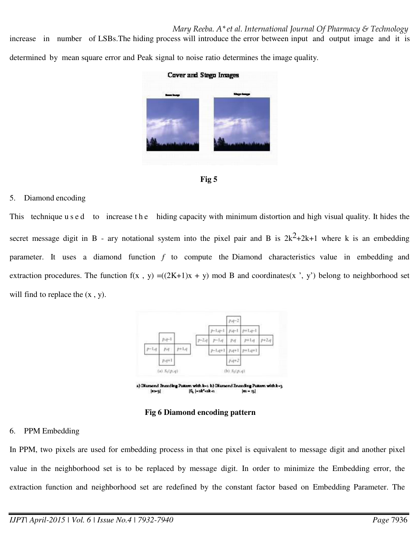increase in number of LSBs.The hiding process will introduce the error between input and output image and it is determined by mean square error and Peak signal to noise ratio determines the image quality.





#### 5. Diamond encoding

This technique u s e d to increase the hiding capacity with minimum distortion and high visual quality. It hides the secret message digit in B - ary notational system into the pixel pair and B is  $2k^2+2k+1$  where k is an embedding parameter. It uses a diamond function *f* to compute the Diamond characteristics value in embedding and extraction procedures. The function  $f(x, y) = ((2K+1)x + y) \text{ mod } B$  and coordinates(x ', y') belong to neighborhood set will find to replace the  $(x, y)$ .



**Fig 6 Diamond encoding pattern**

#### 6. PPM Embedding

In PPM, two pixels are used for embedding process in that one pixel is equivalent to message digit and another pixel value in the neighborhood set is to be replaced by message digit. In order to minimize the Embedding error, the extraction function and neighborhood set are redefined by the constant factor based on Embedding Parameter. The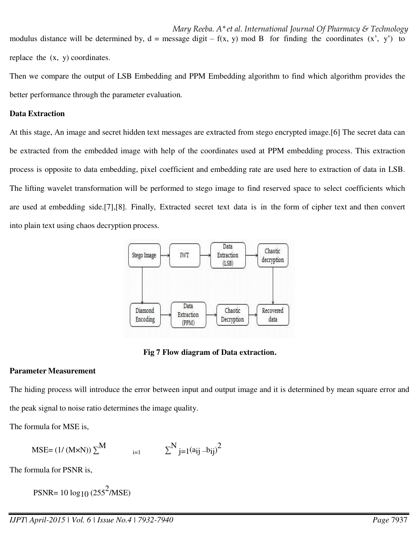*Mary Reeba. A\*et al. International Journal Of Pharmacy & Technology*  modulus distance will be determined by,  $d =$  message digit – f(x, y) mod B for finding the coordinates  $(x', y')$  to replace the (x, y) coordinates.

Then we compare the output of LSB Embedding and PPM Embedding algorithm to find which algorithm provides the better performance through the parameter evaluation.

#### **Data Extraction**

At this stage, An image and secret hidden text messages are extracted from stego encrypted image.[6] The secret data can be extracted from the embedded image with help of the coordinates used at PPM embedding process. This extraction process is opposite to data embedding, pixel coefficient and embedding rate are used here to extraction of data in LSB. The lifting wavelet transformation will be performed to stego image to find reserved space to select coefficients which are used at embedding side.[7],[8]. Finally, Extracted secret text data is in the form of cipher text and then convert into plain text using chaos decryption process.



**Fig 7 Flow diagram of Data extraction.** 

#### **Parameter Measurement**

The hiding process will introduce the error between input and output image and it is determined by mean square error and the peak signal to noise ratio determines the image quality.

The formula for MSE is,

$$
MSE{=(1/\left(M{\times}N\right))\sum}^{M} \qquad \qquad \sum^{N} j {=} 1 {\left(a_{ij}-b_{ij}\right)}^2
$$

The formula for PSNR is,

$$
PSNR = 10 \log_{10} (255^2 / \text{MSE})
$$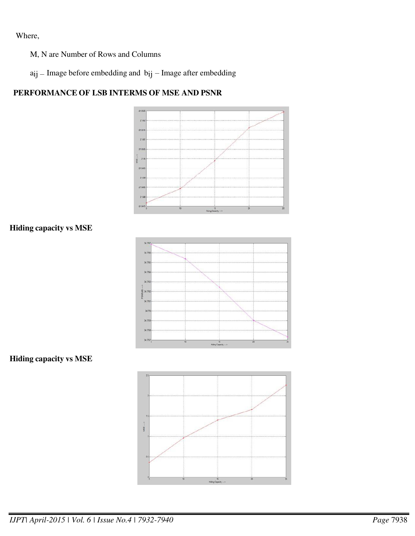Where,

M, N are Number of Rows and Columns

aij – Image before embedding and bij – Image after embedding

# **PERFORMANCE OF LSB INTERMS OF MSE AND PSNR**



# **Hiding capacity vs MSE**



# **Hiding capacity vs MSE**

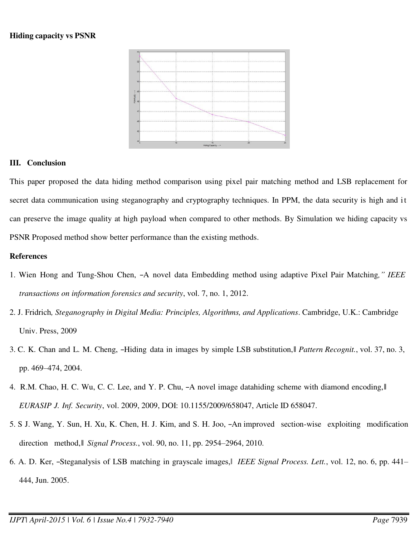#### **Hiding capacity vs PSNR**



#### **III. Conclusion**

This paper proposed the data hiding method comparison using pixel pair matching method and LSB replacement for secret data communication using steganography and cryptography techniques. In PPM, the data security is high and it can preserve the image quality at high payload when compared to other methods. By Simulation we hiding capacity vs PSNR Proposed method show better performance than the existing methods.

#### **References**

- 1. Wien Hong and Tung-Shou Chen, ―A novel data Embedding method using adaptive Pixel Pair Matching*," IEEE transactions on information forensics and security*, vol. 7, no. 1, 2012.
- 2. J. Fridrich*, Steganography in Digital Media: Principles, Algorithms, and Applications*. Cambridge, U.K.: Cambridge Univ. Press, 2009
- 3. C. K. Chan and L. M. Cheng, ―Hiding data in images by simple LSB substitution,‖ *Pattern Recognit.*, vol. 37, no. 3, pp. 469–474, 2004.
- 4. R.M. Chao, H. C. Wu, C. C. Lee, and Y. P. Chu, -A novel image datahiding scheme with diamond encoding,  $\|$ *EURASIP J. Inf. Security*, vol. 2009, 2009, DOI: 10.1155/2009/658047, Article ID 658047.
- 5. S J. Wang, Y. Sun, H. Xu, K. Chen, H. J. Kim, and S. H. Joo, ―An improved section-wise exploiting modification direction method,‖ *Signal Process.*, vol. 90, no. 11, pp. 2954–2964, 2010.
- 6. A. D. Ker, ―Steganalysis of LSB matching in grayscale images,‖ *IEEE Signal Process. Lett.*, vol. 12, no. 6, pp. 441– 444, Jun. 2005.